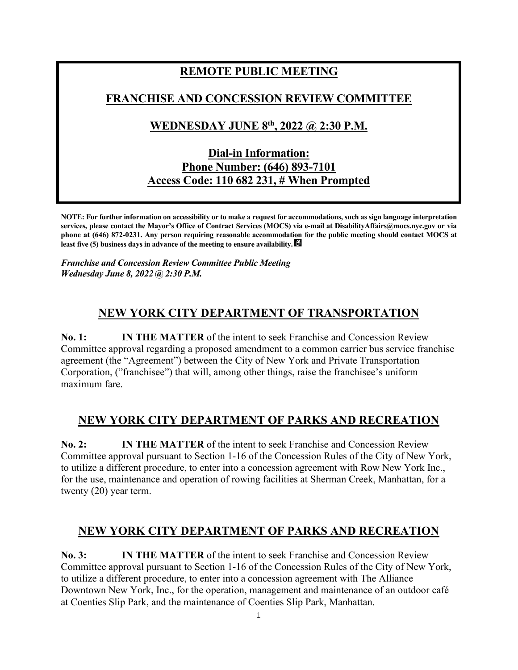# **REMOTE PUBLIC MEETING FRANCHISE AND CONCESSION REVIEW COMMITTEE WEDNESDAY JUNE 8th , 2022 @ 2:30 P.M. Dial-in Information: Phone Number: (646) 893-7101 Access Code: 110 682 231, # When Prompted**

**NOTE: For further information on accessibility or to make a request for accommodations, such as sign language interpretation services, please contact the Mayor's Office of Contract Services (MOCS) via e-mail at DisabilityAffairs@mocs.nyc.gov or via phone at (646) 872-0231. Any person requiring reasonable accommodation for the public meeting should contact MOCS at least five (5) business days in advance of the meeting to ensure availability.** 

*Franchise and Concession Review Committee Public Meeting Wednesday June 8, 2022 @ 2:30 P.M.*

## **NEW YORK CITY DEPARTMENT OF TRANSPORTATION**

**No. 1: IN THE MATTER** of the intent to seek Franchise and Concession Review Committee approval regarding a proposed amendment to a common carrier bus service franchise agreement (the "Agreement") between the City of New York and Private Transportation Corporation, ("franchisee") that will, among other things, raise the franchisee's uniform maximum fare.

#### **NEW YORK CITY DEPARTMENT OF PARKS AND RECREATION**

**No. 2: IN THE MATTER** of the intent to seek Franchise and Concession Review Committee approval pursuant to Section 1-16 of the Concession Rules of the City of New York, to utilize a different procedure, to enter into a concession agreement with Row New York Inc., for the use, maintenance and operation of rowing facilities at Sherman Creek, Manhattan, for a twenty (20) year term.

#### **NEW YORK CITY DEPARTMENT OF PARKS AND RECREATION**

**No. 3: IN THE MATTER** of the intent to seek Franchise and Concession Review Committee approval pursuant to Section 1-16 of the Concession Rules of the City of New York, to utilize a different procedure, to enter into a concession agreement with The Alliance Downtown New York, Inc., for the operation, management and maintenance of an outdoor café at Coenties Slip Park, and the maintenance of Coenties Slip Park, Manhattan.